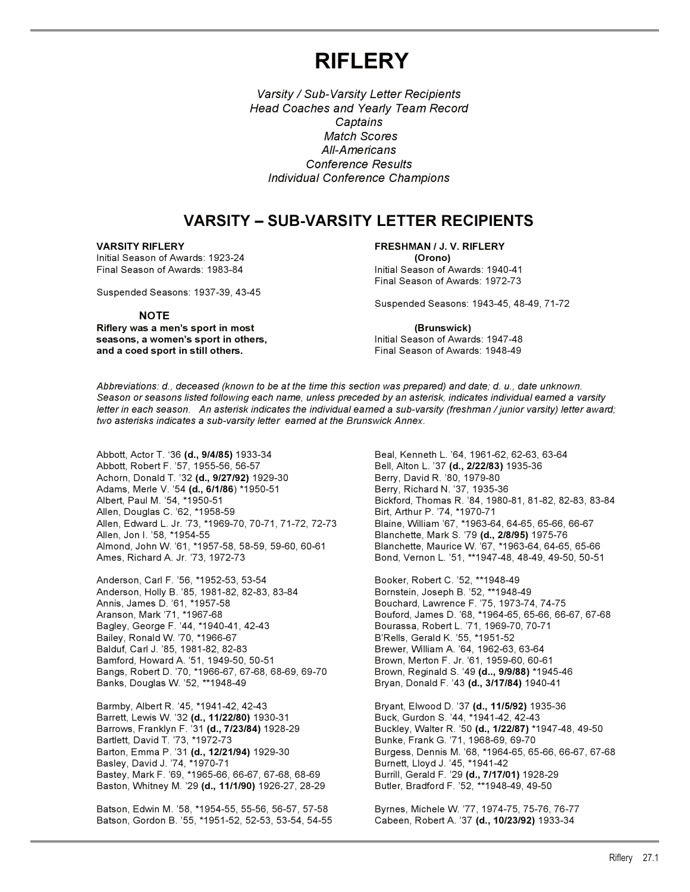# **RIFLERY**

*Varsity / Sub-Varsity Letter Recipients Head Coaches and Yearly Team Record Captains Match Scores All-Americans Conference Results Individual Conference Champions*

## **VARSITY – SUB-VARSITY LETTER RECIPIENTS**

Initial Season of Awards: 1923-24 **(Orono)**

Suspended Seasons: 1937-39, 43-45

#### **NOTE**

**Riflery was a men's sport in most (Brunswick) seasons, a women's sport in others,** Initial Season of Awards: 1947-48 **and a coed sport in still others.** The state of Final Season of Awards: 1948-49

**VARSITY RIFLERY FRESHMAN / J. V. RIFLERY**  Initial Season of Awards: 1940-41 Final Season of Awards: 1972-73

Suspended Seasons: 1943-45, 48-49, 71-72

*Abbreviations: d., deceased (known to be at the time this section was prepared) and date; d. u., date unknown. Season or seasons listed following each name, unless preceded by an asterisk, indicates individual earned a varsity letter in each season. An asterisk indicates the individual earned a sub-varsity (freshman / junior varsity) letter award; two asterisks indicates a sub-varsity letter earned at the Brunswick Annex.*

Abbott, Actor T. '36 **(d., 9/4/85)** 1933-34 Beal, Kenneth L. '64, 1961-62, 62-63, 63-64 Abbott, Robert F. '57, 1955-56, 56-57 Bell, Alton L. '37 **(d., 2/22/83)** 1935-36 Achorn, Donald T. '32 **(d., 9/27/92)** 1929-30<br>Adams, Merle V. '54 **(d., 6/1/86**) \*1950-51 Berry, Richard N. '37, 1935-36 Adams, Merle V. '54 **(d., 6/1/86**) \*1950-51<br>Albert, Paul M. '54, \*1950-51 Allen, Douglas C. '62, \*1958-59 Birt, Arthur P. '74, \*1970-71 Allen, Edward L. Jr. '73, \*1969-70, 70-71, 71-72, 72-73 Allen, Edward L. Jr. '73, \*1969-70, 70-71, 71-72, 72-73 Blaine, William '67, \*1963-64, 64-65, 65-66, 66-67<br>Allen, Jon I. '58, \*1954-55 **Blanchette, Mark S. '79 <b>(d., 2/8/95)** 1975-76 Almond, John W. '61, \*1957-58, 58-59, 59-60, 60-61 Blanchette, Maurice W. '67, \*1963-64, 64-65, 65-66<br>Ames, Richard A. Jr. '73, 1972-73 B9-61, Bend, Vernon L. '51, \*\*1947-48, 48-49, 49-50, 50-51

Anderson, Carl F. '56, \*1952-53, 53-54 Booker, Robert C. '52, \*\*1948-49 Anderson, Holly B. '85, 1981-82, 82-83, 83-84 Bornstein, Joseph B. '52, \*\*1948-49 Annis, James D. '61, \*1957-58 Bouchard, Lawrence F. '75, 1973-74, 74-75 Bagley, George F. '44, \*1940-41, 42-43 Bourassa, Robert L. '71, 1969-70, 70-71 Bailey, Ronald W. '70, \*1966-67 B'Rells, Gerald K. '55, \*1951-52 Bamford, Howard A. '51, 1949-50, 50-51 Brown, Merton F. Jr. '61, 1959-60, 60-61 Bangs, Robert D. '70, \*1966-67, 67-68, 68-69, 69-70 Brown, Reginald S. '49 **(d.., 9/9/88)** \*1945-46 Banks, Douglas W. '52, \*\*1948-49 Bryan, Donald F. '43 **(d., 3/17/84)** 1940-41

Barmby, Albert R. '45, \*1941-42, 42-43<br>Barrett, Lewis W. '32 **(d., 11/22/80)** 1930-31 Buck, Gurdon S. '44, \*1941-42, 42-43 Barrett, Lewis W. '32 (d., 11/22/80) 1930-31 Bartlett, David T. '73, \*1972-73<br>Barton, Emma P. '31 **(d., 12/21/94)** 1929-30 Burgess, Dennis M. '68, \*1964-65, 65 Basley, David J. '74, \*1970-71<br>Bastey, Mark F. '69, \*1965-66, 66-67, 67-68, 68-69 Burrill, Gerald F. '29 **(d., 7/17/01)** 1928-29 Bastey, Mark F. '69, \*1965-66, 66-67, 67-68, 68-69 Baston, Whitney M. '29 (d., 11/1/90) 1926-27, 28-29 Butler, Bradford F. '52, \*\*1948-49, 49-50

Batson, Edwin M. '58, \*1954-55, 55-56, 56-57, 57-58 Byrnes, Michele W. '77, 1974-75, 75-76, 76-77 Batson, Gordon B. '55, \*1951-52, 52-53, 53-54, 54-55 Cabeen, Robert A. '37 **(d., 10/23/92)** 1933-34

Bickford, Thomas R. '84, 1980-81, 81-82, 82-83, 83-84 Bond, Vernon L. '51, \*\*1947-48, 48-49, 49-50, 50-51

Aranson, Mark '71, \*1967-68 Bouford, James D. '68, \*1964-65, 65-66, 66-67, 67-68 Brewer, William A. '64, 1962-63, 63-64

Barrows, Franklyn F. '31 **(d., 7/23/84)** 1928-29 Buckley, Walter R. '50 **(d., 1/22/87)** \*1947-48, 49-50 Burgess, Dennis M. '68, \*1964-65, 65-66, 66-67, 67-68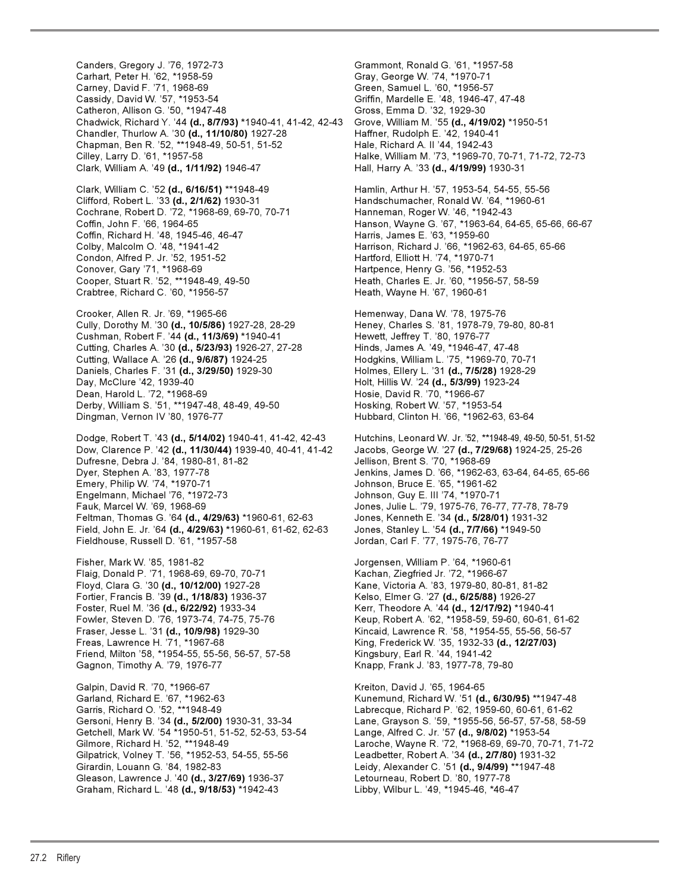Canders, Gregory J. '76, 1972-73 Grammont, Ronald G. '61, \*1957-58 Carhart, Peter H. '62, \*1958-59 Gray, George W. '74, \*1970-71 Cassidy, David W. '57, \*1953-54 Griffin, Mardelle E. '48, 1946-47, 47-48 Catheron, Allison G. '50, \*1947-48 Chadwick, Richard Y. '44 **(d., 8/7/93) \***1940-41, 41-42, 42-43 Grove, William M. '55 **(d., 4/19/02)** \*1950-51 Chandler, Thurlow A. '30 **(d., 11/10/80)** 1927-28 Haffner, Rudolph E. '42, 1940-41 Chapman, Ben R. '52, \*\*1948-49, 50-51, 51-52 Hale, Richard A. II '44, 1942-43 Cilley, Larry D. '61, \*1957-58 Halke, William M. '73, \*1969-70, 70-71, 71-72, 72-73 Clark, William A. '49 **(d., 1/11/92)** 1946-47 Hall, Harry A. '33 **(d., 4/19/99)** 1930-31 Clark, William C. '52 **(d., 6/16/51)** \*\*1948-49 Hamlin, Arthur H. '57, 1953-54, 54-55, 55-56 Clifford, Robert L. '33 **(d., 2/1/62)** 1930-31 Handschumacher, Ronald W. '64, \*1960-61 Cochrane, Robert D. '72, \*1968-69, 69-70, 70-71 Hanneman, Roger W. '46, \*1942-43 Coffin, John F. '66, 1964-65 (1984) Franson, Wayne G. '67, \*1963-64, 64-65, 65-66, 66-67<br>Coffin, Richard H. '48, 1945-46, 46-47 (1984) Frans, James E. '63, \*1959-60 Coffin, Richard H. '48, 1945-46, 46-47 Colby, Malcolm O. '48, \*1941-42 Harrison, Richard J. '66, \*1962-63, 64-65, 65-66 Condon, Alfred P. Jr. '52, 1951-52 Hartford, Elliott H. '74, \*1970-71 Conover, Gary '71, \*1968-69 **Hartpence, Henry G. '56, \*1952-53** Cooper, Stuart R. '52, \*\*1948-49, 49-50 Heath, Charles E. Jr. '60, \*1956-57, 58-59 Crabtree, Richard C. '60, \*1956-57 Heath, Wayne H. '67, 1960-61 Crooker, Allen R. Jr. '69, \*1965-66 Hemenway, Dana W. '78, 1975-76 Cully, Dorothy M. '30 (d., 10/5/86) 1927-28, 28-29 Heney, Charles S. '81, 1978-79, 79-80, 80-81 Cushman, Robert F. '44 **(d., 11/3/69)** \*1940-41 Hewett, Jeffrey T. '80, 1976-77<br>Cutting, Charles A. '30 **(d., 5/23/93)** 1926-27, 27-28 Hinds, James A. '49, \*1946-47, 47 Cutting, Charles A. '30 (d., 5/23/93) 1926-27, 27-28 Cutting, Wallace A. '26 **(d., 9/6/87)** 1924-25 Hodgkins, William L. '75, \*1969-70, 70-71 Daniels, Charles F. '31 **(d., 3/29/50)** 1929-30 Holmes, Ellery L. '31 **(d., 7/5/28)** 1928-29 Day, McClure '42, 1939-40 Holt, Hillis W. '24 **(d., 5/3/99)** 1923-24 Dean, Harold L. '72, \*1968-69 **Hosie, David R. '70, \*1966-67** Derby, William S. '51, \*\*1947-48, 48-49, 49-50 Hosking, Robert W. '57, \*1953-54 Dodge, Robert T. '43 **(d., 5/14/02)** 1940-41, 41-42, 42-43 Hutchins, Leonard W. Jr. '52, \*\*1948-49, 49-50, 50-51, 51-52 Dow, Clarence P. '42 **(d., 11/30/44)** 1939-40, 40-41, 41-42 Dufresne, Debra J. '84, 1980-81, 81-82 Jellison, Brent S. '70, \*1968-69 Dyer, Stephen A. '83, 1977-78 Jenkins, James D. '66, \*1962-63, 63-64, 64-65, 65-66 Emery, Philip W. '74, \*1970-71 Johnson, Bruce E. '65, \*1961-62 Engelmann, Michael '76, \*1972-73 Fauk, Marcel W. '69, 1968-69 Jones, Julie L. '79, 1975-76, 76-77, 77-78, 78-79 Feltman, Thomas G. '64 **(d., 4/29/63)** \*1960-61, 62-63 Jones, Kenneth E. '34 **(d., 5/28/01)** 1931-32 Field, John E. Jr. '64 **(d., 4/29/63) \***1960-61, 61-62, 62-63 Jones, Stanley L. '54 **(d., 7/7/66)** \*1949-50 Fieldhouse, Russell D. '61, \*1957-58 Jordan, Carl F. '77, 1975-76, 76-77 Fisher, Mark W. '85, 1981-82 Jorgensen, William P. '64, \*1960-61 Flaig, Donald P. '71, 1968-69, 69-70, 70-71 Kachan, Ziegfried Jr. '72, \*1966-67 Floyd, Clara G. '30 **(d., 10/12/00)** 1927-28 Kane, Victoria A. '83, 1979-80, 80-81, 81-82 Fortier, Francis B. '39 **(d., 1/18/83)** 1936-37 Kelso, Elmer G. '27 **(d., 6/25/88)** 1926-27 Foster, Ruel M. '36 **(d., 6/22/92)** 1933-34 Kerr, Theodore A. '44 **(d., 12/17/92)** \*1940-41 Fowler, Steven D. '76, 1973-74, 74-75, 75-76 Keup, Robert A. '62, \*1958-59, 59-60, 60-61, 61-62 Freas, Lawrence H. '71, \*1967-68 King, Frederick W. '35, 1932-33 **(d., 12/27/03)** Friend, Milton '58, \*1954-55, 55-56, 56-57, 57-58 Kingsbury, Earl R. '44, 1941-42 Gagnon, Timothy A. '79, 1976-77 Knapp, Frank J. '83, 1977-78, 79-80

Galpin, David R. '70, \*1966-67 Kneeton, David J. '65, 1964-65 Garland, Richard E. '67, \*1962-63 **Kunemund, Richard W. '51 <b>(d., 6/30/95)** \*\*1947-48<br>Garris, Richard O. '52, \*\*1948-49 **Kuning State Carl Barris, Richard P. '62**, 1959-60, 60-61, 61-62 Getchell, Mark W. '54 \*1950-51, 51-52, 52-53, 53-54 Lange, Alfred C. Jr. '57 **(d., 9/8/02)** \*1953-54 Gilpatrick, Volney T. '56, \*1952-53, 54-55, 55-56 Girardin, Louann G. '84, 1982-83 Leidy, Alexander C. '51 **(d., 9/4/99)** \*\*1947-48 Gleason, Lawrence J. '40 **(d., 3/27/69)** 1936-37 Letourneau, Robert D. '80, 1977-78<br>Graham, Richard L. '48 **(d., 9/18/53)** \*1942-43 Libby, Wilbur L. '49, \*194 Graham, Richard L. '48 (d., 9/18/53) \*1942-43

Green, Samuel L. '60, \*1956-57

Hubbard, Clinton H. '66, \*1962-63, 63-64

Kincaid, Lawrence R. '58, \*1954-55, 55-56, 56-57

Labrecque, Richard P. '62, 1959-60, 60-61, 61-62 Gersoni, Henry B. '34 **(d., 5/2/00)** 1930-31, 33-34 Lane, Grayson S. '59, \*1955-56, 56-57, 57-58, 58-59 Gilmore, Richard H. '52, \*\*1948-49 Laroche, Wayne R. '72, \*1968-69, 69-70, 70-71, 71-72<br>Gilpatrick, Volney T. '56, \*1952-53, 54-55, 55-56 Leadbetter, Robert A. '34 **(d., 2/7/80)** 1931-32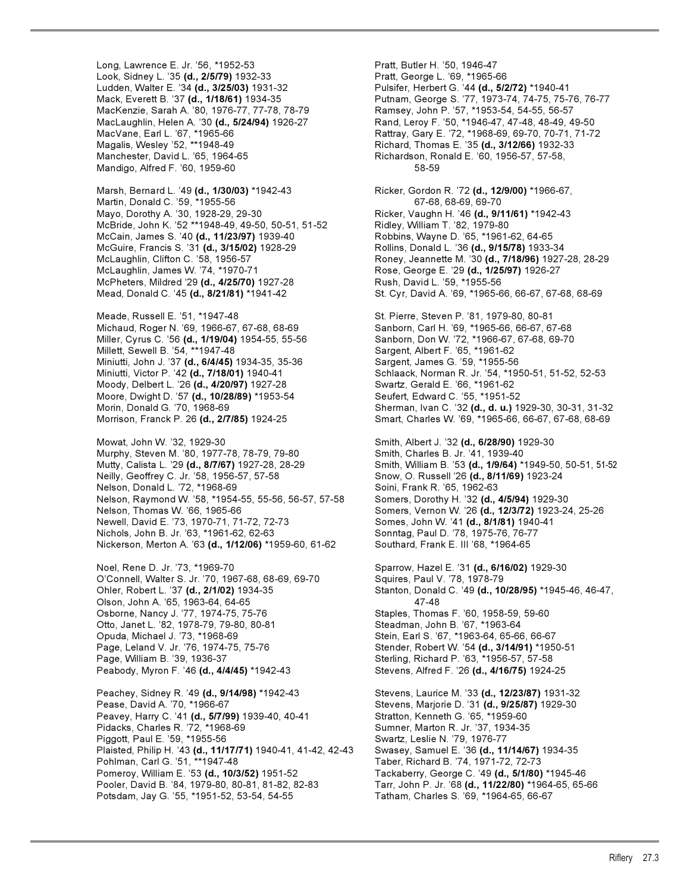Long, Lawrence E. Jr. '56, \*1952-53 Pratt, Butler H. '50, 1946-47 Look, Sidney L. '35 **(d., 2/5/79)** 1932-33 Pratt, George L. '69, \*1965-66 Ludden, Walter E. '34 **(d., 3/25/03)** 1931-32 Pulsifer, Herbert G. '44 **(d., 5/2/72)** \*1940-41 MacKenzie, Sarah A. '80, 1976-77, 77-78, 78-79 Manchester, David L. '65, 1964-65 Richardson, Ronald E. '60, 1956-57, 57-58, Mandigo, Alfred F. '60, 1959-60 58-59

Martin, Donald C. '59, \*1955-56 67-68, 68-69, 69-70 Mayo, Dorothy A. '30, 1928-29, 29-30 Ricker, Vaughn H. '46 **(d., 9/11/61)** \*1942-43 McBride, John K. '52 \*\*1948-49, 49-50, 50-51, 51-52 Ridley, William T. '82, 1979-80 McCain, James S. '40 **(d., 11/23/97)** 1939-40 Robbins, Wayne D. '65, \*1961-62, 64-65 McGuire, Francis S. '31 **(d., 3/15/02)** 1928-29 Rollins, Donald L. '36 **(d., 9/15/78)** 1933-34 McLaughlin, James W. '74, \*1970-71 Rose, George E. '29 **(d., 1/25/97)** 1926-27 McPheters, Mildred '29 **(d., 4/25/70)** 1927-28 Rush, David L. '59, \*1955-56

Meade, Russell E. '51, \*1947-48 St. Pierre, Steven P. '81, 1979-80, 80-81 Michaud, Roger N. '69, 1966-67, 67-68, 68-69 Miller, Cyrus C. '56 **(d., 1/19/04)** 1954-55, 55-56 Sanborn, Don W. '72, \*1966-67, 67-68, 69-70 Millett, Sewell B. '54, \*\*1947-48 Sargent, Albert F. '65, \*1961-62 Miniutti, John J. '37 **(d., 6/4/45)** 1934-35, 35-36 Sargent, James G. '59, \*1955-56 Moody, Delbert L. '26 **(d., 4/20/97)** 1927-28 Swartz, Gerald E. '66, \*1961-62 Moore, Dwight D. '57 **(d., 10/28/89)** \*1953-54<br>Morin, Donald G. '70, 1968-69

Mowat, John W. '32, 1929-30 Smith, Albert J. '32 **(d., 6/28/90)** 1929-30 Murphy, Steven M. '80, 1977-78, 78-79, 79-80 Smith, Charles B. Jr. '41, 1939-40<br>Mutty, Calista L. '29 **(d., 8/7/67)** 1927-28, 28-29 Smith, William B. '53 **(d., 1/9/64)** \* Neilly, Geoffrey C. Jr. '58, 1956-57, 57-58 Snow, O. Russell '26 **(d., 8/11/69)** 1923-24 Nelson, Donald L. '72, \*1968-69 Soini, Frank R. '65, 1962-63 Nelson, Raymond W. '58, \*1954-55, 55-56, 56-57, 57-58 Somers, Dorothy H. '32 **(d., 4/5/94)** 1929-30 Nelson, Thomas W. '66, 1965-66 Somers, Vernon W. '26 **(d., 12/3/72)** 1923-24, 25-26 Newell, David E. '73, 1970-71, 71-72, 72-73 Somes, John W. '41 **(d., 8/1/81)** 1940-41 Nichols, John B. Jr. '63, \*1961-62, 62-63 Sonntag, Paul D. '78, 1975-76, 76-77 Nickerson, Merton A. '63 (d., 1/12/06) \*1959-60, 61-62

Noel, Rene D. Jr. '73, \*1969-70 Sparrow, Hazel E. '31 **(d., 6/16/02)** 1929-30 O'Connell, Walter S. Jr. '70, 1967-68, 68-69, 69-70 Squires, Paul V. '78, 1978-79 Olson, John A. '65, 1963-64, 64-65 47-48 Osborne, Nancy J. '77, 1974-75, 75-76 Staples, Thomas F. '60, 1958-59, 59-60 Otto, Janet L. '82, 1978-79, 79-80, 80-81 Steadman, John B. '67, \*1963-64 Page, Leland V. Jr. '76, 1974-75, 75-76 Stender, Robert W. '54 **(d., 3/14/91)** \*1950-51 Peabody, Myron F. '46 **(d., 4/4/45)** \*1942-43 Stevens, Alfred F. '26 **(d., 4/16/75)** 1924-25

Peachey, Sidney R. '49 **(d., 9/14/98)** \*1942-43 Stevens, Laurice M. '33 **(d., 12/23/87)** 1931-32 Peavey, Harry C. '41 **(d., 5/7/99)** 1939-40, 40-41 Stratton, Kenneth G. '65, \*1959-60 Pidacks, Charles R. '72, \*1968-69 Sumner, Marton R. Jr. '37, 1934-35 Piggott, Paul E. '59, \*1955-56<br>Plaisted, Philip H. '43 **(d., 11/17/71)** 1940-41, 41-42, 42-43 Swasey, Samuel E. '36 **(d., 11/14/67)** 1934-35 Plaisted, Philip H. '43 (d., 11/17/71) 1940-41, 41-42, 42-43 Pohlman, Carl G. '51, \*\*1947-48 Taber, Richard B. '74, 1971-72, 72-73 Pomeroy, William E. '53 **(d., 10/3/52)** 1951-52 Tackaberry, George C. '49 **(d., 5/1/80)** \*1945-46 Pooler, David B. '84, 1979-80, 80-81, 81-82, 82-83 Tarr, John P. Jr. '68 **(d., 11/22/80)** \*1964-65, 65-66 Potsdam, Jay G. '55, \*1951-52, 53-54, 54-55 Tatham, Charles S. '69, \*1964-65, 66-67

Mack, Everett B. '37 **(d., 1/18/61)** 1934-35 Putnam, George S. '77, 1973-74, 74-75, 75-76, 76-77<br>MacKenzie, Sarah A. '80, 1976-77, 77-78, 78-79 Ramsey, John P. '57, \*1953-54, 54-55, 56-57 MacLaughlin, Helen A. '30 **(d., 5/24/94)** 1926-27 Rand, Leroy F. '50, \*1946-47, 47-48, 48-49, 49-50 MacVane, Earl L. '67, \*1965-66 Rattray, Gary E. '72, \*1968-69, 69-70, 70-71, 71-72 Richard, Thomas E. '35 (d., 3/12/66) 1932-33 Marsh, Bernard L. '49 **(d., 1/30/03)** \*1942-43 Ricker, Gordon R. '72 **(d., 12/9/00)** \*1966-67, McLaughlin, Clifton C. '58, 1956-57 Roney, Jeannette M. '30 **(d., 7/18/96)** 1927-28, 28-29 Mead, Donald C. '45 **(d., 8/21/81)** \*1941-42 St. Cyr, David A. '69, \*1965-66, 66-67, 67-68, 68-69 Miniutti, Victor P. '42 **(d., 7/18/01)** 1940-41 Schlaack, Norman R. Jr. '54, \*1950-51, 51-52, 52-53 Sherman, Ivan C. '32 (d., d. u.) 1929-30, 30-31, 31-32 Morrison, Franck P. 26 **(d., 2/7/85)** 1924-25 Smart, Charles W. '69, \*1965-66, 66-67, 67-68, 68-69 Mutty, Calista L. '29 **(d., 8/7/67)** 1927-28, 28-29 Smith, William B. '53 **(d., 1/9/64)** \*1949-50, 50-51, 51-52 Ohler, Robert L. '37 **(d., 2/1/02)** 1934-35 Stanton, Donald C. '49 **(d., 10/28/95)** \*1945-46, 46-47, Stein, Earl S. '67, \*1963-64, 65-66, 66-67 Sterling, Richard P. '63, \*1956-57, 57-58 Stevens, Marjorie D. '31 (d., 9/25/87) 1929-30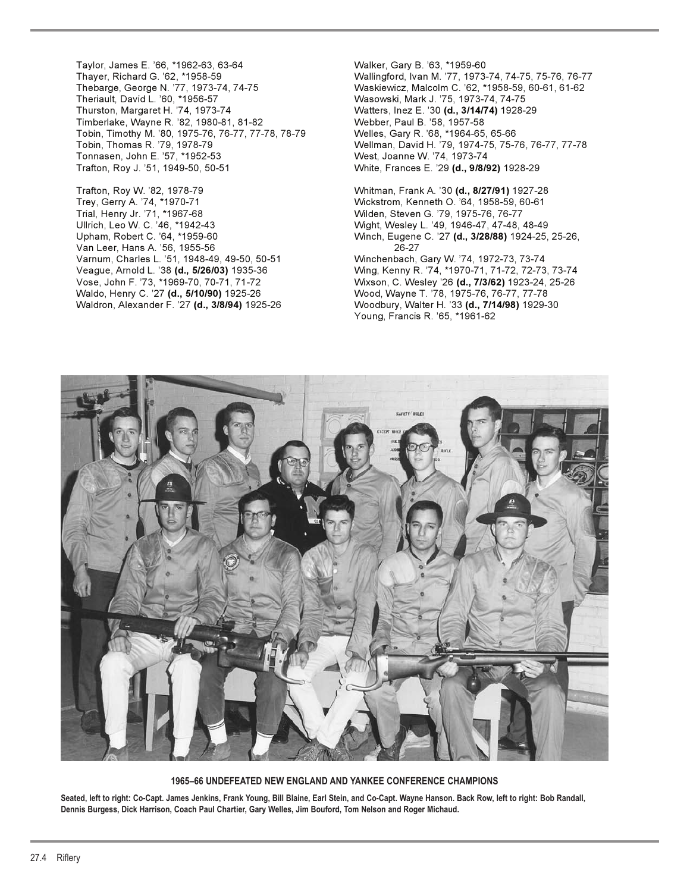Taylor, James E. '66, \*1962-63, 63-64 Walker, Gary B. '63, \*1959-60 Theriault, David L. '60, \*1956-57<br>Thurston, Margaret H. '74, 1973-74 Wasowski, Mark J. '75, 1973-74, 74-75 Timberlake, Wayne R. '82, 1980-81, 81-82 Webber, Paul B. '58, 1957-58 Tobin, Timothy M. '80, 1975-76, 76-77, 77-78, 78-79 Welles, Gary R. '68, \*1964-65, 65-66 Tonnasen, John E. '57, \*1952-53 West, Joanne W. '74, 1973-74 Trafton, Roy J. '51, 1949-50, 50-51 White, Frances E. '29 **(d., 9/8/92)** 1928-29

Trey, Gerry A. '74, \*1970-71 Wickstrom, Kenneth O. '64, 1958-59, 60-61 Ullrich, Leo W. C. '46, \*1942-43 Wight, Wesley L. '49, 1946-47, 47-48, 48-49 Van Leer, Hans A. '56, 1955-56 26-27 Varnum, Charles L. '51, 1948-49, 49-50, 50-51 Winchenbach, Gary W. '74, 1972-73, 73-74 Waldo, Henry C. '27 **(d., 5/10/90)** 1925-26 Wood, Wayne T. '78, 1975-76, 76-77, 77-78 Waldron, Alexander F. '27 **(d., 3/8/94)** 1925-26 Woodbury, Walter H. '33 **(d., 7/14/98)** 1929-30

Thayer, Richard G. '62, \*1958-59 Wallingford, Ivan M. '77, 1973-74, 74-75, 75-76, 76-77 Waskiewicz, Malcolm C. '62, \*1958-59, 60-61, 61-62 Watters, Inez E. '30 (d., 3/14/74) 1928-29 Tobin, Thomas R. '79, 1978-79 Wellman, David H. '79, 1974-75, 75-76, 76-77, 77-78

Trafton, Roy W. '82, 1978-79 Whitman, Frank A. '30 **(d., 8/27/91)** 1927-28 Wilden, Steven G. '79, 1975-76, 76-77 Winch, Eugene C. '27 (d., 3/28/88) 1924-25, 25-26, Veague, Arnold L. '38 **(d., 5/26/03)** 1935-36 Wing, Kenny R. '74, \*1970-71, 71-72, 72-73, 73-74 Vose, John F. '73, \*1969-70, 70-71, 71-72 Wixson, C. Wesley '26 **(d., 7/3/62)** 1923-24, 25-26 Young, Francis R. '65, \*1961-62



**1965–66 UNDEFEATED NEW ENGLAND AND YANKEE CONFERENCE CHAMPIONS**

**Seated, left to right: Co-Capt. James Jenkins, Frank Young, Bill Blaine, Earl Stein, and Co-Capt. Wayne Hanson. Back Row, left to right: Bob Randall, Dennis Burgess, Dick Harrison, Coach Paul Chartier, Gary Welles, Jim Bouford, Tom Nelson and Roger Michaud.**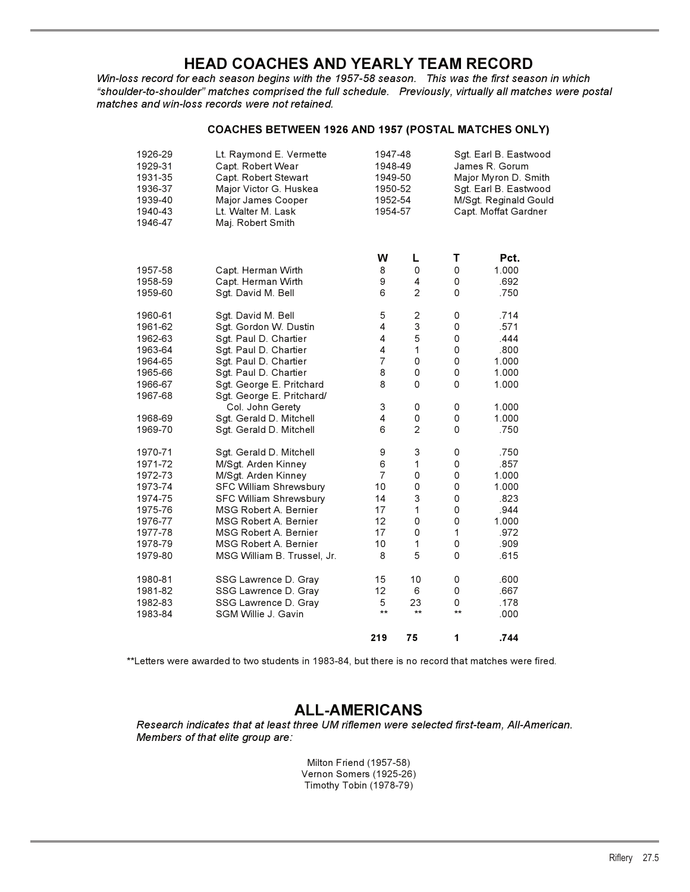## **HEAD COACHES AND YEARLY TEAM RECORD**

*Win-loss record for each season begins with the 1957-58 season. This was the first season in which "shoulder-to-shoulder" matches comprised the full schedule. Previously, virtually all matches were postal matches and win-loss records were not retained.*

### **COACHES BETWEEN 1926 AND 1957 (POSTAL MATCHES ONLY)**

| 1926-29<br>1929-31<br>1931-35<br>1936-37<br>1939-40<br>1940-43<br>1946-47 | Lt. Raymond E. Vermette<br>Capt. Robert Wear<br>Capt. Robert Stewart<br>Major Victor G. Huskea<br>Major James Cooper<br>Lt. Walter M. Lask<br>Maj. Robert Smith |                | 1947-48<br>1948-49<br>1949-50<br>1950-52<br>1952-54<br>1954-57 |                     | Sgt. Earl B. Eastwood<br>James R. Gorum<br>Major Myron D. Smith<br>Sgt. Earl B. Eastwood<br>M/Sgt. Reginald Gould<br>Capt. Moffat Gardner |  |  |
|---------------------------------------------------------------------------|-----------------------------------------------------------------------------------------------------------------------------------------------------------------|----------------|----------------------------------------------------------------|---------------------|-------------------------------------------------------------------------------------------------------------------------------------------|--|--|
|                                                                           |                                                                                                                                                                 | W              | L                                                              | Τ                   | Pct.                                                                                                                                      |  |  |
| 1957-58                                                                   | Capt. Herman Wirth                                                                                                                                              | 8              | 0                                                              | $\mathbf 0$         | 1.000                                                                                                                                     |  |  |
| 1958-59                                                                   | Capt. Herman Wirth                                                                                                                                              | 9              | 4                                                              | 0                   | .692                                                                                                                                      |  |  |
| 1959-60                                                                   | Sgt. David M. Bell                                                                                                                                              | 6              | $\overline{c}$                                                 | $\mathbf 0$         | .750                                                                                                                                      |  |  |
| 1960-61                                                                   | Sgt. David M. Bell                                                                                                                                              | 5              | $\mathbf 2$                                                    | 0                   | .714                                                                                                                                      |  |  |
| 1961-62                                                                   | Sgt. Gordon W. Dustin                                                                                                                                           | 4              | $\ensuremath{\mathsf{3}}$                                      | 0                   | .571                                                                                                                                      |  |  |
| 1962-63                                                                   | Sgt. Paul D. Chartier                                                                                                                                           | 4              | $\sqrt{5}$                                                     | 0                   | .444                                                                                                                                      |  |  |
| 1963-64                                                                   | Sgt. Paul D. Chartier                                                                                                                                           | 4              | 1                                                              | $\mathbf 0$         | .800                                                                                                                                      |  |  |
| 1964-65                                                                   | Sgt. Paul D. Chartier                                                                                                                                           | $\overline{7}$ | 0                                                              | $\mathsf{O}\xspace$ | 1.000                                                                                                                                     |  |  |
| 1965-66                                                                   | Sgt. Paul D. Chartier                                                                                                                                           | 8              | 0                                                              | 0                   | 1.000                                                                                                                                     |  |  |
| 1966-67                                                                   | Sgt. George E. Pritchard                                                                                                                                        | 8              | 0                                                              | $\mathbf 0$         | 1.000                                                                                                                                     |  |  |
| 1967-68                                                                   | Sgt. George E. Pritchard/                                                                                                                                       |                |                                                                |                     |                                                                                                                                           |  |  |
|                                                                           | Col. John Gerety                                                                                                                                                | 3              | 0                                                              | 0                   | 1.000                                                                                                                                     |  |  |
| 1968-69                                                                   | Sgt. Gerald D. Mitchell                                                                                                                                         | 4              | 0                                                              | 0                   | 1.000                                                                                                                                     |  |  |
| 1969-70                                                                   | Sgt. Gerald D. Mitchell                                                                                                                                         | 6              | $\overline{c}$                                                 | $\mathsf 0$         | .750                                                                                                                                      |  |  |
| 1970-71                                                                   | Sgt. Gerald D. Mitchell                                                                                                                                         | 9              | 3                                                              | 0                   | .750                                                                                                                                      |  |  |
| 1971-72                                                                   | M/Sgt. Arden Kinney                                                                                                                                             | 6              | 1                                                              | 0                   | .857                                                                                                                                      |  |  |
| 1972-73                                                                   | M/Sgt. Arden Kinney                                                                                                                                             | $\overline{7}$ | $\mathsf 0$                                                    | 0                   | 1.000                                                                                                                                     |  |  |
| 1973-74                                                                   | SFC William Shrewsbury                                                                                                                                          | 10             | 0                                                              | $\mathsf 0$         | 1.000                                                                                                                                     |  |  |
| 1974-75                                                                   | SFC William Shrewsbury                                                                                                                                          | 14             | 3                                                              | $\mathsf 0$         | .823                                                                                                                                      |  |  |
| 1975-76                                                                   | MSG Robert A. Bernier                                                                                                                                           | 17             | 1                                                              | 0                   | .944                                                                                                                                      |  |  |
| 1976-77                                                                   | MSG Robert A. Bernier                                                                                                                                           | 12             | 0                                                              | $\mathsf 0$         | 1.000                                                                                                                                     |  |  |
| 1977-78                                                                   | MSG Robert A. Bernier                                                                                                                                           | 17             | 0                                                              | $\mathbf{1}$        | .972                                                                                                                                      |  |  |
| 1978-79                                                                   | MSG Robert A. Bernier                                                                                                                                           | 10             | $\mathbf{1}$                                                   | 0                   | .909                                                                                                                                      |  |  |
| 1979-80                                                                   | MSG William B. Trussel, Jr.                                                                                                                                     | 8              | 5                                                              | $\mathsf 0$         | .615                                                                                                                                      |  |  |
| 1980-81                                                                   | SSG Lawrence D. Gray                                                                                                                                            | 15             | 10                                                             | 0                   | .600                                                                                                                                      |  |  |
| 1981-82                                                                   | SSG Lawrence D. Gray                                                                                                                                            | 12             | 6                                                              | 0                   | .667                                                                                                                                      |  |  |
| 1982-83                                                                   | SSG Lawrence D. Gray                                                                                                                                            | 5              | 23                                                             | 0                   | .178                                                                                                                                      |  |  |
| 1983-84                                                                   | SGM Willie J. Gavin                                                                                                                                             | $***$          | $\star\star$                                                   | $\star\star$        | .000                                                                                                                                      |  |  |
|                                                                           |                                                                                                                                                                 | 219            | 75                                                             | 1                   | .744                                                                                                                                      |  |  |

\*\*Letters were awarded to two students in 1983-84, but there is no record that matches were fired.

## **ALL-AMERICANS**

*Research indicates that at least three UM riflemen were selected first-team, All-American. Members of that elite group are:*

> Milton Friend (1957-58) Vernon Somers (1925-26) Timothy Tobin (1978-79)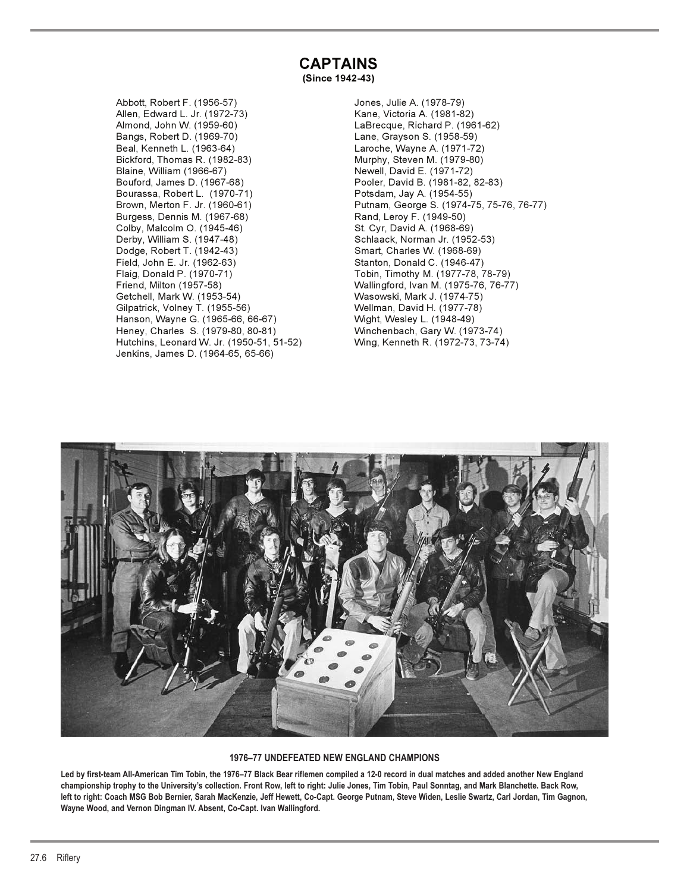# **CAPTAINS**

**(Since 1942-43)**

Abbott, Robert F. (1956-57) Jones, Julie A. (1978-79) Allen, Edward L. Jr. (1972-73) Kane, Victoria A. (1981-82) Bangs, Robert D. (1969-70) Lane, Grayson S. (1958-59) Beal, Kenneth L. (1963-64) Laroche, Wayne A. (1971-72) Bickford, Thomas R. (1982-83) Murphy, Steven M. (1979-80) Blaine, William (1966-67) Newell, David E. (1971-72) Bourassa, Robert L. (1970-71) Potsdam, Jay A. (1954-55) Burgess, Dennis M. (1967-68) Rand, Leroy F. (1949-50) Colby, Malcolm O. (1945-46) St. Cyr, David A. (1968-69) Derby, William S. (1947-48) Schlaack, Norman Jr. (1952-53) Dodge, Robert T. (1942-43) Smart, Charles W. (1968-69) Field, John E. Jr. (1962-63) Stanton, Donald C. (1946-47) Friend, Milton (1957-58) Wallingford, Ivan M. (1975-76, 76-77) Getchell, Mark W. (1953-54) Wasowski, Mark J. (1974-75) Gilpatrick, Volney T. (1955-56) Wellman, David H. (1977-78) Hanson, Wayne G. (1965-66, 66-67) Wight, Wesley L. (1948-49) Heney, Charles S. (1979-80, 80-81) Winchenbach, Gary W. (1973-74) Hutchins, Leonard W. Jr. (1950-51, 51-52) Jenkins, James D. (1964-65, 65-66)

LaBrecque, Richard P. (1961-62) Pooler, David B. (1981-82, 82-83) Brown, Merton F. Jr. (1960-61) Putnam, George S. (1974-75, 75-76, 76-77) Tobin, Timothy M. (1977-78, 78-79)



#### **1976–77 UNDEFEATED NEW ENGLAND CHAMPIONS**

**Led by first-team All-American Tim Tobin, the 1976–77 Black Bear riflemen compiled a 12-0 record in dual matches and added another New England championship trophy to the University's collection. Front Row, left to right: Julie Jones, Tim Tobin, Paul Sonntag, and Mark Blanchette. Back Row, left to right: Coach MSG Bob Bernier, Sarah MacKenzie, Jeff Hewett, Co-Capt. George Putnam, Steve Widen, Leslie Swartz, Carl Jordan, Tim Gagnon, Wayne Wood, and Vernon Dingman IV. Absent, Co-Capt. Ivan Wallingford.**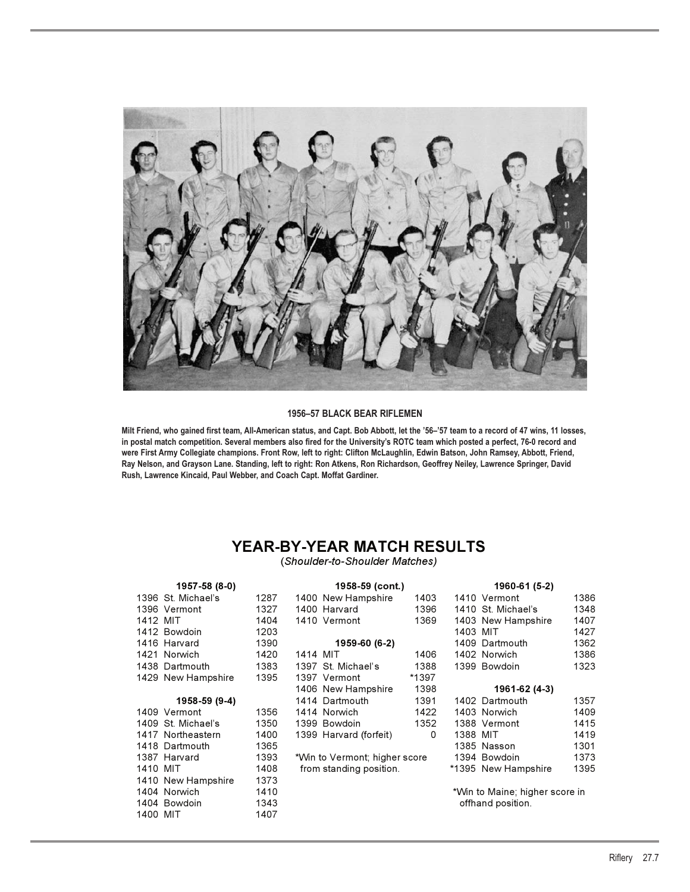

#### **1956–57 BLACK BEAR RIFLEMEN**

**Milt Friend, who gained first team, All-American status, and Capt. Bob Abbott, let the '56–'57 team to a record of 47 wins, 11 losses, in postal match competition. Several members also fired for the University's ROTC team which posted a perfect, 76-0 record and were First Army Collegiate champions. Front Row, left to right: Clifton McLaughlin, Edwin Batson, John Ramsey, Abbott, Friend, Ray Nelson, and Grayson Lane. Standing, left to right: Ron Atkens, Ron Richardson, Geoffrey Neiley, Lawrence Springer, David Rush, Lawrence Kincaid, Paul Webber, and Coach Capt. Moffat Gardiner.**

## **YEAR-BY-YEAR MATCH RESULTS**

(*Shoulder-to-Shoulder Matches)*

|          | 1957-58 (8-0)      |      |          | 1958-59 (cont.)               |       |          | 1960-61 (5-2)                  |      |
|----------|--------------------|------|----------|-------------------------------|-------|----------|--------------------------------|------|
|          | 1396 St. Michael's | 1287 |          | 1400 New Hampshire            | 1403  |          | 1410 Vermont                   | 1386 |
|          | 1396 Vermont       | 1327 |          | 1400 Harvard                  | 1396  |          | 1410 St. Michael's             | 1348 |
| 1412 MIT |                    | 1404 |          | 1410 Vermont                  | 1369  |          | 1403 New Hampshire             | 1407 |
|          | 1412 Bowdoin       | 1203 |          |                               |       | 1403 MIT |                                | 1427 |
|          | 1416 Harvard       | 1390 |          | 1959-60 (6-2)                 |       |          | 1409 Dartmouth                 | 1362 |
|          | 1421 Norwich       | 1420 | 1414 MIT |                               | 1406  |          | 1402 Norwich                   | 1386 |
|          | 1438 Dartmouth     | 1383 |          | 1397 St. Michael's            | 1388  |          | 1399 Bowdoin                   | 1323 |
|          | 1429 New Hampshire | 1395 |          | 1397 Vermont                  | *1397 |          |                                |      |
|          |                    |      |          | 1406 New Hampshire            | 1398  |          | 1961-62 (4-3)                  |      |
|          | 1958-59 (9-4)      |      |          | 1414 Dartmouth                | 1391  |          | 1402 Dartmouth                 | 1357 |
|          | 1409 Vermont       | 1356 |          | 1414 Norwich                  | 1422  |          | 1403 Norwich                   | 1409 |
|          | 1409 St. Michael's | 1350 |          | 1399 Bowdoin                  | 1352  |          | 1388 Vermont                   | 1415 |
|          | 1417 Northeastern  | 1400 |          | 1399 Harvard (forfeit)        | 0     | 1388 MIT |                                | 1419 |
|          | 1418 Dartmouth     | 1365 |          |                               |       |          | 1385 Nasson                    | 1301 |
|          | 1387 Harvard       | 1393 |          | *Win to Vermont; higher score |       |          | 1394 Bowdoin                   | 1373 |
| 1410 MIT |                    | 1408 |          | from standing position.       |       |          | *1395 New Hampshire            | 1395 |
|          | 1410 New Hampshire | 1373 |          |                               |       |          |                                |      |
|          | 1404 Norwich       | 1410 |          |                               |       |          | *Win to Maine; higher score in |      |
|          | 1404 Bowdoin       | 1343 |          |                               |       |          | offhand position.              |      |
| 1400 MIT |                    | 1407 |          |                               |       |          |                                |      |
|          |                    |      |          |                               |       |          |                                |      |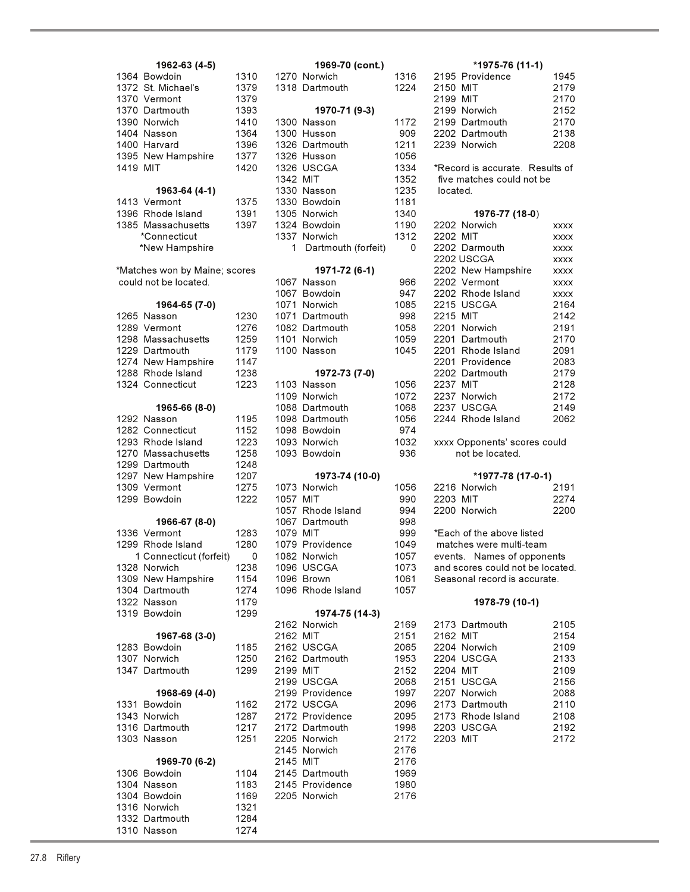| 1962-63 (4-5)                         |              |          | 1969-70 (cont.)              |              |
|---------------------------------------|--------------|----------|------------------------------|--------------|
| 1364 Bowdoin                          | 1310         |          | 1270 Norwich                 | 1316         |
| 1372 St. Michael's                    | 1379         |          | 1318 Dartmouth               | 1224         |
| 1370 Vermont                          | 1379         |          |                              |              |
| 1370 Dartmouth                        | 1393         |          | 1970-71 (9-3)                |              |
| 1390 Norwich                          | 1410         |          | 1300 Nasson                  | 1172         |
| 1404 Nasson                           | 1364         |          | 1300 Husson                  | 909          |
| 1400 Harvard                          | 1396         |          | 1326 Dartmouth               | 1211         |
| 1395 New Hampshire<br>1419 MIT        | 1377<br>1420 |          | 1326 Husson                  | 1056         |
|                                       |              | 1342 MIT | 1326 USCGA                   | 1334<br>1352 |
| 1963-64 (4-1)                         |              |          | 1330 Nasson                  | 1235         |
| 1413 Vermont                          | 1375         |          | 1330 Bowdoin                 | 1181         |
| 1396 Rhode Island                     | 1391         |          | 1305 Norwich                 | 1340         |
| 1385 Massachusetts                    | 1397         |          | 1324 Bowdoin                 | 1190         |
| *Connecticut                          |              |          | 1337 Norwich                 | 1312         |
| *New Hampshire                        |              | 1.       | Dartmouth (forfeit)          | 0            |
| *Matches won by Maine; scores         |              |          | 1971-72 (6-1)                |              |
| could not be located.                 |              |          | 1067 Nasson                  | 966          |
|                                       |              |          | 1067 Bowdoin                 | 947          |
| 1964-65 (7-0)                         |              |          | 1071 Norwich                 | 1085         |
| 1265 Nasson                           | 1230         |          | 1071 Dartmouth               | 998          |
| 1289 Vermont                          | 1276         |          | 1082 Dartmouth               | 1058         |
| 1298 Massachusetts                    | 1259         |          | 1101 Norwich                 | 1059         |
| 1229 Dartmouth                        | 1179         |          | 1100 Nasson                  | 1045         |
| 1274 New Hampshire                    | 1147         |          |                              |              |
| 1288 Rhode Island<br>1324 Connecticut | 1238<br>1223 |          | 1972-73 (7-0)<br>1103 Nasson | 1056         |
|                                       |              |          | 1109 Norwich                 | 1072         |
| 1965-66 (8-0)                         |              |          | 1088 Dartmouth               | 1068         |
| 1292 Nasson                           | 1195         |          | 1098 Dartmouth               | 1056         |
| 1282 Connecticut                      | 1152         |          | 1098 Bowdoin                 | 974          |
| 1293 Rhode Island                     | 1223         |          | 1093 Norwich                 | 1032         |
| 1270 Massachusetts                    | 1258         |          | 1093 Bowdoin                 | 936          |
| 1299 Dartmouth                        | 1248         |          |                              |              |
| 1297 New Hampshire                    | 1207         |          | 1973-74 (10-0)               |              |
| 1309 Vermont                          | 1275         |          | 1073 Norwich                 | 1056         |
| 1299 Bowdoin                          | 1222         | 1057 MIT |                              | 990          |
|                                       |              |          | 1057 Rhode Island            | 994          |
| 1966-67 (8-0)<br>1336 Vermont         |              | 1079 MIT | 1067 Dartmouth               | 998<br>999   |
| 1299 Rhode Island                     | 1283<br>1280 |          | 1079 Providence              | 1049         |
| 1 Connecticut (forfeit)               | 0            |          | 1082 Norwich                 | 1057         |
| 1328 Norwich                          | 1238         |          | 1096 USCGA                   | 1073         |
| 1309 New Hampshire                    | 1154         |          | 1096 Brown                   | 1061         |
| 1304 Dartmouth                        | 1274         |          | 1096 Rhode Island            | 1057         |
| 1322 Nasson                           | 1179         |          |                              |              |
| 1319 Bowdoin                          | 1299         |          | 1974-75 (14-3)               |              |
|                                       |              | 2162 MIT | 2162 Norwich                 | 2169<br>2151 |
| 1967-68 (3-0)<br>1283 Bowdoin         | 1185         |          | 2162 USCGA                   | 2065         |
| 1307 Norwich                          | 1250         |          | 2162 Dartmouth               | 1953         |
| 1347 Dartmouth                        | 1299         | 2199 MIT |                              | 2152         |
|                                       |              |          | 2199 USCGA                   | 2068         |
| 1968-69 (4-0)                         |              |          | 2199 Providence              | 1997         |
| 1331 Bowdoin                          | 1162         |          | 2172 USCGA                   | 2096         |
| 1343 Norwich                          | 1287         |          | 2172 Providence              | 2095         |
| 1316 Dartmouth                        | 1217         |          | 2172 Dartmouth               | 1998         |
| 1303 Nasson                           | 1251         |          | 2205 Norwich                 | 2172         |
|                                       |              |          | 2145 Norwich                 | 2176         |
| 1969-70 (6-2)<br>1306 Bowdoin         | 1104         | 2145 MIT | 2145 Dartmouth               | 2176<br>1969 |
| 1304 Nasson                           | 1183         |          | 2145 Providence              | 1980         |
| 1304 Bowdoin                          | 1169         |          | 2205 Norwich                 | 2176         |
| 1316 Norwich                          | 1321         |          |                              |              |
| 1332 Dartmouth                        | 1284         |          |                              |              |
| 1310 Nasson                           | 1274         |          |                              |              |

| 1962-63 (4-5)           |      |          | 1969-70 (cont.)     |      | *1975-76 (11-1)            |
|-------------------------|------|----------|---------------------|------|----------------------------|
| wdoin                   | 1310 |          | 1270 Norwich        | 1316 | 2195 Providence            |
| Michael's               | 1379 |          | 1318 Dartmouth      | 1224 | 2150 MIT                   |
| rmont                   | 1379 |          |                     |      | 2199 MIT                   |
| rtmouth                 | 1393 |          | 1970-71 (9-3)       |      | 2199 Norwich               |
| rwich                   | 1410 |          | 1300 Nasson         | 1172 | 2199 Dartmouth             |
| sson                    | 1364 |          | 1300 Husson         | 909  | 2202 Dartmouth             |
| rvard                   | 1396 |          | 1326 Dartmouth      | 1211 | 2239 Norwich               |
| w Hampshire             | 1377 |          | 1326 Husson         | 1056 |                            |
| Т                       | 1420 |          | 1326 USCGA          | 1334 | *Record is accurate. Res   |
|                         |      | 1342 MIT |                     | 1352 | five matches could not be  |
|                         |      |          |                     |      |                            |
| 1963-64 (4-1)           |      |          | 1330 Nasson         | 1235 | located.                   |
| rmont                   | 1375 |          | 1330 Bowdoin        | 1181 |                            |
| ode Island              | 1391 |          | 1305 Norwich        | 1340 | 1976-77 (18-0)             |
| issachusetts            | 1397 |          | 1324 Bowdoin        | 1190 | 2202 Norwich               |
| nnecticut               |      |          | 1337 Norwich        | 1312 | 2202 MIT                   |
| w Hampshire             |      | 1        | Dartmouth (forfeit) | 0    | 2202 Darmouth              |
|                         |      |          |                     |      | 2202 USCGA                 |
| won by Maine; scores    |      |          | 1971-72 (6-1)       |      | 2202 New Hampshire         |
| t be located.           |      |          | 1067 Nasson         | 966  | 2202 Vermont               |
|                         |      |          | 1067 Bowdoin        | 947  | 2202 Rhode Island          |
| 1964-65 (7-0)           |      |          | 1071 Norwich        | 1085 | 2215 USCGA                 |
| sson                    | 1230 |          | 1071 Dartmouth      | 998  | 2215 MIT                   |
| rmont                   | 1276 |          | 1082 Dartmouth      | 1058 | 2201 Norwich               |
| ıssachusetts            | 1259 |          | 1101 Norwich        | 1059 | 2201 Dartmouth             |
| rtmouth                 | 1179 |          | 1100 Nasson         | 1045 | 2201 Rhode Island          |
| w Hampshire             | 1147 |          |                     |      | 2201 Providence            |
| ode Island              | 1238 |          |                     |      | 2202 Dartmouth             |
|                         | 1223 |          | 1972-73 (7-0)       |      | 2237 MIT                   |
| nnecticut               |      |          | 1103 Nasson         | 1056 |                            |
|                         |      |          | 1109 Norwich        | 1072 | 2237 Norwich               |
| 1965-66 (8-0)           |      |          | 1088 Dartmouth      | 1068 | 2237 USCGA                 |
| sson                    | 1195 |          | 1098 Dartmouth      | 1056 | 2244 Rhode Island          |
| nnecticut               | 1152 |          | 1098 Bowdoin        | 974  |                            |
| ode Island              | 1223 |          | 1093 Norwich        | 1032 | xxxx Opponents' scores c   |
| ıssachusetts            | 1258 |          | 1093 Bowdoin        | 936  | not be located.            |
| rtmouth                 | 1248 |          |                     |      |                            |
| w Hampshire             | 1207 |          | 1973-74 (10-0)      |      | *1977-78 (17-0-1           |
| rmont                   | 1275 |          | 1073 Norwich        | 1056 | 2216 Norwich               |
| wdoin                   | 1222 | 1057 MIT |                     | 990  | 2203 MIT                   |
|                         |      |          | 1057 Rhode Island   | 994  | 2200 Norwich               |
| 1966-67 (8-0)           |      |          | 1067 Dartmouth      | 998  |                            |
| rmont                   | 1283 | 1079 MIT |                     | 999  | *Each of the above listed  |
| ode Island              | 1280 |          | 1079 Providence     | 1049 | matches were multi-team    |
| nnecticut (forfeit)   0 |      |          | 1082 Norwich        | 1057 | events. Names of oppon     |
| rwich                   | 1238 |          | 1096 USCGA          | 1073 | and scores could not be lo |
| w Hampshire             | 1154 |          | 1096 Brown          | 1061 | Seasonal record is accura  |
| rtmouth                 | 1274 |          | 1096 Rhode Island   | 1057 |                            |
| sson                    | 1179 |          |                     |      | 1978-79 (10-1)             |
| wdoin                   | 1299 |          | 1974-75 (14-3)      |      |                            |
|                         |      |          | 2162 Norwich        | 2169 | 2173 Dartmouth             |
|                         |      | 2162 MIT |                     | 2151 | 2162 MIT                   |
| 1967-68 (3-0)           |      |          |                     |      |                            |
| wdoin                   | 1185 |          | 2162 USCGA          | 2065 | 2204 Norwich               |
| rwich                   | 1250 |          | 2162 Dartmouth      | 1953 | 2204 USCGA                 |
| rtmouth                 | 1299 | 2199 MIT |                     | 2152 | 2204 MIT                   |
|                         |      |          | 2199 USCGA          | 2068 | 2151 USCGA                 |
| 1968-69 (4-0)           |      |          | 2199 Providence     | 1997 | 2207 Norwich               |
| wdoin                   | 1162 |          | 2172 USCGA          | 2096 | 2173 Dartmouth             |
| rwich                   | 1287 |          | 2172 Providence     | 2095 | 2173 Rhode Island          |
| rtmouth                 | 1217 |          | 2172 Dartmouth      | 1998 | 2203 USCGA                 |
| sson                    | 1251 |          | 2205 Norwich        | 2172 | 2203 MIT                   |
|                         |      |          | 2145 Norwich        | 2176 |                            |
| 1969-70 (6-2)           |      | 2145 MIT |                     | 2176 |                            |
| wdoin                   | 1104 |          | 2145 Dartmouth      | 1969 |                            |
| sson                    | 1183 |          | 2145 Providence     | 1980 |                            |
| wdoin                   | 1169 |          | 2205 Norwich        | 2176 |                            |
|                         |      |          |                     |      |                            |
| rwich                   | 1321 |          |                     |      |                            |
| rtmouth                 | 1284 |          |                     |      |                            |
| sson                    | 1274 |          |                     |      |                            |

### **1962-63 (4-5) 1969-70 (cont.) \*1975-76 (11-1)** 10 1270 Norwich 1316 2195 Providence 1945 1318 Dartmouth 1224 2150 MIT 2179 1370 Vermont 1379 2199 MIT 2170 1370 Dartmouth 1393 **1970-71 (9-3)** 2199 Norwich 2152 10 1300 Nasson 1172 2199 Dartmouth 2170 1404 Nasson 1364 1300 Husson 909 2202 Dartmouth 2138 1400 Harvard 1396 1326 Dartmouth 1211 2239 Norwich 2208 20 1326 USCGA 1334 \*Record is accurate. Results of 352 five matches could not be 190 2202 Norwich xxxx 312 2202 MIT xxxx 0 2202 Darmouth xxxx 2202 USCGA xxxx es **1971-72 (6-1)** 2202 New Hampshire xxxx 966 2202 Vermont xxxx 947 2202 Rhode Island xxxx **1964-65 (7-0)** 1071 Norwich 1085 2215 USCGA 2164 1265 Nasson 1230 1071 Dartmouth 998 2215 MIT 2142 <sup>7</sup>6 1082 Dartmouth 1058 2201 Norwich 2191 59 1101 Norwich 1059 2201 Dartmouth 2170 1229 Dartmouth 1179 1100 Nasson 1045 2201 Rhode Island 2091 12<br>1294 New Hampshire 12201 Providence 2083 1288 Rhode Island 1238 **1972-73 (7-0)** 2202 Dartmouth 2179 1324 Connecticut 1223 1103 Nasson 1056 2237 MIT 2128 072 2237 Norwich 2172 **1965-66 (8-0)** 1088 Dartmouth 1068 2237 USCGA 2149 056 2244 Rhode Island 2062 23 1093 Norwich 1032 xxxx Opponents' scores could 129**7 1297 1297 1207 1208 1308 1312 1312 14**<br>1207 12191 1208 1208 1216 Norwich 12091 056 2216 Norwich 1299 Bowdoin 1222 1057 MIT 990 2203 MIT 2274 1057 Rhode Island 994 2200 Norwich 2200 0 1082 Norwich 1057 events. Names of opponents 138 1096 USCGA 1073 and scores could not be located. 1309 Armshire 1061 Seasonal record is accurate. 2169 2173 Dartmouth 2105 **1967-68 (3-0)** 2162 MIT 2151 2162 MIT 2154 1283 Bowdoin 1185 2065 2204 Norwich 2109 1307 Norwich 1250 2162 Dartmouth 1953 2204 USCGA 2133 1347 Dartmouth 1299 2199 MIT 2152 2204 MIT 2109 2068 2151 USCGA 2156 **1968-69 (4-0)** 2199 Providence 1997 2207 Norwich 2088 2173 Dartmouth 137 2172 Providence 2095 2173 Rhode Island 2108 1316 Dartmouth 1217 2172 Dartmouth 1998 2203 USCGA 2192 1303 Nasson 1251 2205 Norwich 2172 2203 MIT 2172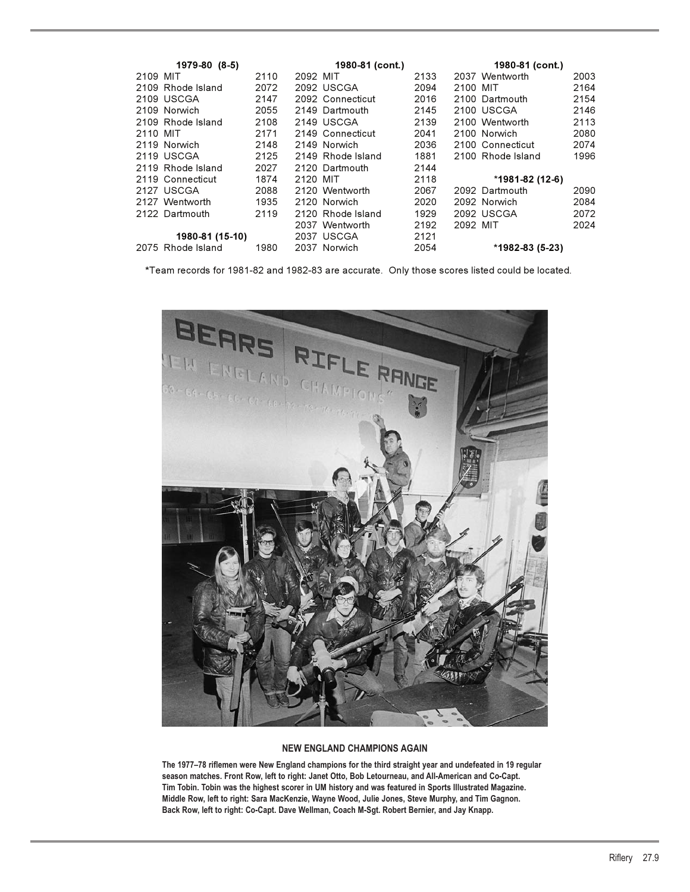| 1979-80 (8-5)     | 1980-81 (cont.) |                   |      | 1980-81 (cont.)           |
|-------------------|-----------------|-------------------|------|---------------------------|
| 2109 MIT          | 2110            | 2092 MIT          | 2133 | 2037 Wentworth<br>2003    |
| 2109 Rhode Island | 2072            | 2092 USCGA        | 2094 | 2164<br>2100 MIT          |
| 2109 USCGA        | 2147            | 2092 Connecticut  | 2016 | 2154<br>2100 Dartmouth    |
| 2109 Norwich      | 2055            | 2149 Dartmouth    | 2145 | 2100 USCGA<br>2146        |
| 2109 Rhode Island | 2108            | 2149 USCGA        | 2139 | 2113<br>2100 Wentworth    |
| 2110 MIT          | 2171            | 2149 Connecticut  | 2041 | 2080<br>2100 Norwich      |
| 2119 Norwich      | 2148            | 2149 Norwich      | 2036 | 2074<br>2100 Connecticut  |
| 2119 USCGA        | 2125            | 2149 Rhode Island | 1881 | 1996<br>2100 Rhode Island |
| 2119 Rhode Island | 2027            | 2120 Dartmouth    | 2144 |                           |
| 2119 Connecticut  | 1874            | 2120 MIT          | 2118 | *1981-82 (12-6)           |
| 2127 USCGA        | 2088            | 2120 Wentworth    | 2067 | 2092 Dartmouth<br>2090    |
| 2127 Wentworth    | 1935            | 2120 Norwich      | 2020 | 2084<br>2092 Norwich      |
| 2122 Dartmouth    | 2119            | 2120 Rhode Island | 1929 | 2072<br>2092 USCGA        |
|                   |                 | 2037 Wentworth    | 2192 | 2024<br>2092 MIT          |
| 1980-81 (15-10)   |                 | 2037 USCGA        | 2121 |                           |
| 2075 Rhode Island | 1980            | 2037 Norwich      | 2054 | *1982-83 (5-23)           |

**\***Team records for 1981-82 and 1982-83 are accurate. Only those scores listed could be located.



#### **NEW ENGLAND CHAMPIONS AGAIN**

**The 1977–78 riflemen were New England champions for the third straight year and undefeated in 19 regular season matches. Front Row, left to right: Janet Otto, Bob Letourneau, and All-American and Co-Capt. Tim Tobin. Tobin was the highest scorer in UM history and was featured in Sports Illustrated Magazine. Middle Row, left to right: Sara MacKenzie, Wayne Wood, Julie Jones, Steve Murphy, and Tim Gagnon. Back Row, left to right: Co-Capt. Dave Wellman, Coach M-Sgt. Robert Bernier, and Jay Knapp.**